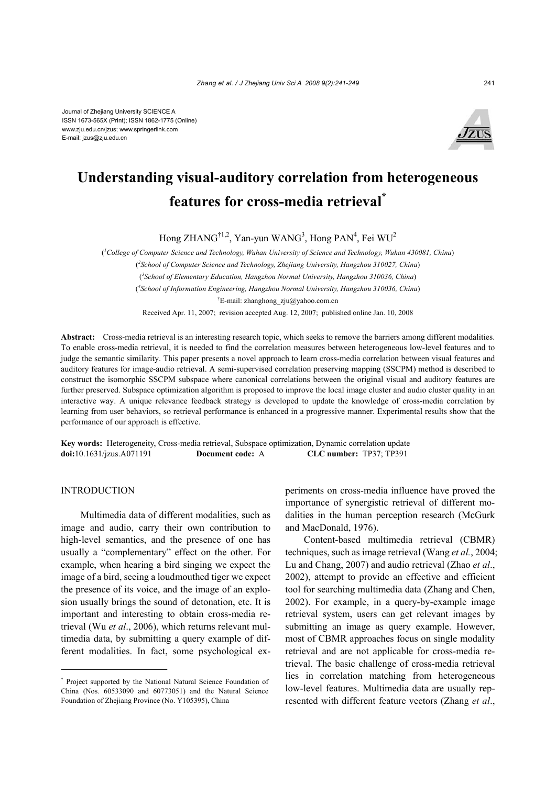

# **Understanding visual-auditory correlation from heterogeneous features for cross-media retrieval\***

Hong ZHANG<sup>†1,2</sup>, Yan-yun WANG<sup>3</sup>, Hong PAN<sup>4</sup>, Fei WU<sup>2</sup>

( *1 College of Computer Science and Technology, Wuhan University of Science and Technology, Wuhan 430081, China*) ( *2 School of Computer Science and Technology, Zhejiang University, Hangzhou 310027, China*) ( *3 School of Elementary Education, Hangzhou Normal University, Hangzhou 310036, China*) ( *4 School of Information Engineering, Hangzhou Normal University, Hangzhou 310036, China*) † E-mail: zhanghong\_zju@yahoo.com.cn Received Apr. 11, 2007; revision accepted Aug. 12, 2007; published online Jan. 10, 2008

**Abstract:** Cross-media retrieval is an interesting research topic, which seeks to remove the barriers among different modalities. To enable cross-media retrieval, it is needed to find the correlation measures between heterogeneous low-level features and to judge the semantic similarity. This paper presents a novel approach to learn cross-media correlation between visual features and auditory features for image-audio retrieval. A semi-supervised correlation preserving mapping (SSCPM) method is described to construct the isomorphic SSCPM subspace where canonical correlations between the original visual and auditory features are further preserved. Subspace optimization algorithm is proposed to improve the local image cluster and audio cluster quality in an interactive way. A unique relevance feedback strategy is developed to update the knowledge of cross-media correlation by learning from user behaviors, so retrieval performance is enhanced in a progressive manner. Experimental results show that the performance of our approach is effective.

**Key words:** Heterogeneity, Cross-media retrieval, Subspace optimization, Dynamic correlation update **doi:**10.1631/jzus.A071191 **Document code:** A **CLC number:** TP37; TP391

# **INTRODUCTION**

Multimedia data of different modalities, such as image and audio, carry their own contribution to high-level semantics, and the presence of one has usually a "complementary" effect on the other. For example, when hearing a bird singing we expect the image of a bird, seeing a loudmouthed tiger we expect the presence of its voice, and the image of an explosion usually brings the sound of detonation, etc. It is important and interesting to obtain cross-media retrieval (Wu *et al*., 2006), which returns relevant multimedia data, by submitting a query example of different modalities. In fact, some psychological experiments on cross-media influence have proved the importance of synergistic retrieval of different modalities in the human perception research (McGurk and MacDonald, 1976).

Content-based multimedia retrieval (CBMR) techniques, such as image retrieval (Wang *et al.*, 2004; Lu and Chang, 2007) and audio retrieval (Zhao *et al*., 2002), attempt to provide an effective and efficient tool for searching multimedia data (Zhang and Chen, 2002). For example, in a query-by-example image retrieval system, users can get relevant images by submitting an image as query example. However, most of CBMR approaches focus on single modality retrieval and are not applicable for cross-media retrieval. The basic challenge of cross-media retrieval lies in correlation matching from heterogeneous low-level features. Multimedia data are usually represented with different feature vectors (Zhang *et al*.,

<sup>\*</sup> Project supported by the National Natural Science Foundation of China (Nos. 60533090 and 60773051) and the Natural Science Foundation of Zhejiang Province (No. Y105395), China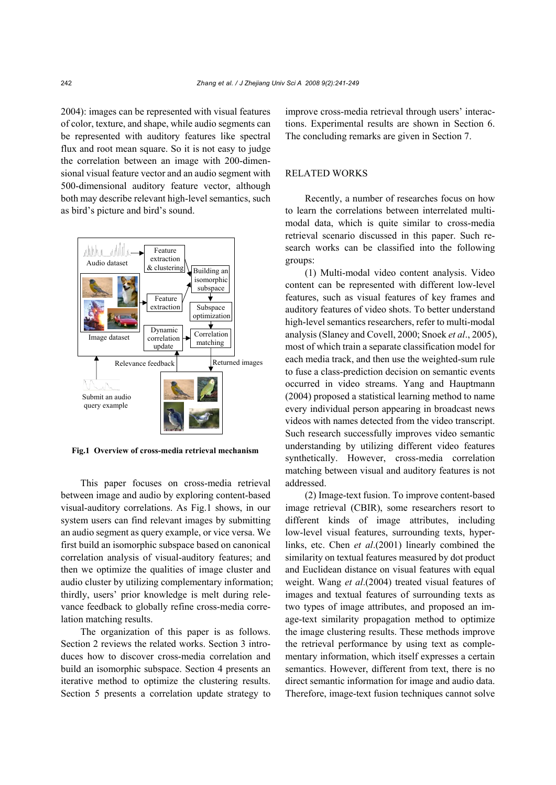2004): images can be represented with visual features of color, texture, and shape, while audio segments can be represented with auditory features like spectral flux and root mean square. So it is not easy to judge the correlation between an image with 200-dimensional visual feature vector and an audio segment with 500-dimensional auditory feature vector, although both may describe relevant high-level semantics, such as bird's picture and bird's sound.



**Fig.1 Overview of cross-media retrieval mechanism** 

This paper focuses on cross-media retrieval between image and audio by exploring content-based visual-auditory correlations. As Fig.1 shows, in our system users can find relevant images by submitting an audio segment as query example, or vice versa. We first build an isomorphic subspace based on canonical correlation analysis of visual-auditory features; and then we optimize the qualities of image cluster and audio cluster by utilizing complementary information; thirdly, users' prior knowledge is melt during relevance feedback to globally refine cross-media correlation matching results.

The organization of this paper is as follows. Section 2 reviews the related works. Section 3 introduces how to discover cross-media correlation and build an isomorphic subspace. Section 4 presents an iterative method to optimize the clustering results. Section 5 presents a correlation update strategy to improve cross-media retrieval through users' interactions. Experimental results are shown in Section 6. The concluding remarks are given in Section 7.

## RELATED WORKS

Recently, a number of researches focus on how to learn the correlations between interrelated multimodal data, which is quite similar to cross-media retrieval scenario discussed in this paper. Such research works can be classified into the following groups:

(1) Multi-modal video content analysis. Video content can be represented with different low-level features, such as visual features of key frames and auditory features of video shots. To better understand high-level semantics researchers, refer to multi-modal analysis (Slaney and Covell, 2000; Snoek *et al*., 2005), most of which train a separate classification model for each media track, and then use the weighted-sum rule to fuse a class-prediction decision on semantic events occurred in video streams. Yang and Hauptmann (2004) proposed a statistical learning method to name every individual person appearing in broadcast news videos with names detected from the video transcript. Such research successfully improves video semantic understanding by utilizing different video features synthetically. However, cross-media correlation matching between visual and auditory features is not addressed.

(2) Image-text fusion. To improve content-based image retrieval (CBIR), some researchers resort to different kinds of image attributes, including low-level visual features, surrounding texts, hyperlinks, etc. Chen *et al*.(2001) linearly combined the similarity on textual features measured by dot product and Euclidean distance on visual features with equal weight. Wang *et al*.(2004) treated visual features of images and textual features of surrounding texts as two types of image attributes, and proposed an image-text similarity propagation method to optimize the image clustering results. These methods improve the retrieval performance by using text as complementary information, which itself expresses a certain semantics. However, different from text, there is no direct semantic information for image and audio data. Therefore, image-text fusion techniques cannot solve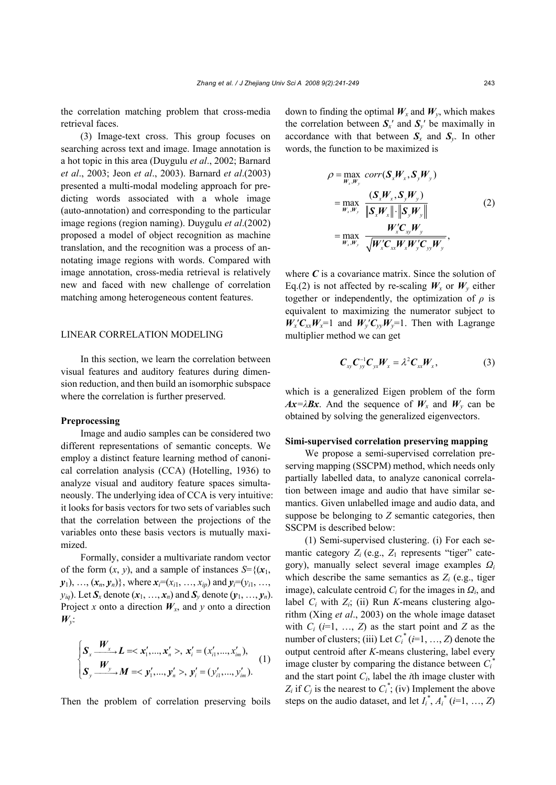the correlation matching problem that cross-media retrieval faces.

(3) Image-text cross. This group focuses on searching across text and image. Image annotation is a hot topic in this area (Duygulu *et al*., 2002; Barnard *et al*., 2003; Jeon *et al*., 2003). Barnard *et al*.(2003) presented a multi-modal modeling approach for predicting words associated with a whole image (auto-annotation) and corresponding to the particular image regions (region naming). Duygulu *et al*.(2002) proposed a model of object recognition as machine translation, and the recognition was a process of annotating image regions with words. Compared with image annotation, cross-media retrieval is relatively new and faced with new challenge of correlation matching among heterogeneous content features.

## LINEAR CORRELATION MODELING

In this section, we learn the correlation between visual features and auditory features during dimension reduction, and then build an isomorphic subspace where the correlation is further preserved.

#### **Preprocessing**

Image and audio samples can be considered two different representations of semantic concepts. We employ a distinct feature learning method of canonical correlation analysis (CCA) (Hotelling, 1936) to analyze visual and auditory feature spaces simultaneously. The underlying idea of CCA is very intuitive: it looks for basis vectors for two sets of variables such that the correlation between the projections of the variables onto these basis vectors is mutually maximized.

Formally, consider a multivariate random vector of the form  $(x, y)$ , and a sample of instances  $S = \{ (x_1, y_1, y_2, \ldots, x_n) \}$  $y_1$ , ...,  $(x_n, y_n)$ , where  $x_i=(x_{i1}, ..., x_{ip})$  and  $y_i=(y_{i1}, ..., y_{in})$  $y_{iq}$ ). Let  $S_x$  denote  $(x_1, ..., x_n)$  and  $S_y$  denote  $(y_1, ..., y_n)$ . Project *x* onto a direction  $W_x$ , and *y* onto a direction  $W_{\nu}$ .

$$
\begin{cases}\n\mathbf{S}_{x} \xrightarrow{\boldsymbol{W}_{x}} \mathbf{L} = < \mathbf{x}'_{1}, \dots, \mathbf{x}'_{n} > \mathbf{x}'_{i} = (x'_{i1}, \dots, x'_{im}), \\
\mathbf{S}_{y} \xrightarrow{\boldsymbol{W}_{y}} \mathbf{M} = < \mathbf{y}'_{1}, \dots, \mathbf{y}'_{n} > \mathbf{y}'_{i} = (y'_{i1}, \dots, y'_{im}).\n\end{cases} (1)
$$

Then the problem of correlation preserving boils

down to finding the optimal  $W_x$  and  $W_y$ , which makes the correlation between  $S$ <sup>*x*</sup> and  $S$ <sup>*y*</sup> be maximally in accordance with that between  $S_x$  and  $S_y$ . In other words, the function to be maximized is

$$
\rho = \max_{W_x, W_y} corr(S_x W_x, S_y W_y)
$$
  
\n
$$
= \max_{W_x, W_y} \frac{(S_x W_x, S_y W_y)}{\|S_x W_x\| \cdot \|S_y W_y\|}
$$
  
\n
$$
= \max_{W_x, W_y} \frac{W_x C_{xy} W_y}{\sqrt{W_x C_{xx} W_x W_y C_{yy} W_y}},
$$
\n(2)

where  $C$  is a covariance matrix. Since the solution of Eq.(2) is not affected by re-scaling  $W_x$  or  $W_y$  either together or independently, the optimization of  $\rho$  is equivalent to maximizing the numerator subject to  $W_x C_{xx} W_x = 1$  and  $W_y C_{yy} W_y = 1$ . Then with Lagrange multiplier method we can get

$$
\boldsymbol{C}_{xy}\boldsymbol{C}_{yy}^{-1}\boldsymbol{C}_{yx}\boldsymbol{W}_{x}=\lambda^{2}\boldsymbol{C}_{xx}\boldsymbol{W}_{x}, \qquad (3)
$$

which is a generalized Eigen problem of the form  $Ax = \lambda Bx$ . And the sequence of  $W_x$  and  $W_y$  can be obtained by solving the generalized eigenvectors.

#### **Simi-supervised correlation preserving mapping**

We propose a semi-supervised correlation preserving mapping (SSCPM) method, which needs only partially labelled data, to analyze canonical correlation between image and audio that have similar semantics. Given unlabelled image and audio data, and suppose be belonging to *Z* semantic categories, then SSCPM is described below:

(1) Semi-supervised clustering. (i) For each semantic category  $Z_i$  (e.g.,  $Z_1$  represents "tiger" category), manually select several image examples *Ω<sup>i</sup>* which describe the same semantics as  $Z_i$  (e.g., tiger image), calculate centroid  $C_i$  for the images in  $Q_i$ , and label *Ci* with *Zi*; (ii) Run *K*-means clustering algorithm (Xing *et al*., 2003) on the whole image dataset with  $C_i$  ( $i=1, ..., Z$ ) as the start point and  $Z$  as the number of clusters; (iii) Let  $C_i^*$  ( $i=1, ..., Z$ ) denote the output centroid after *K*-means clustering, label every image cluster by comparing the distance between  $C_i^*$ and the start point *Ci*, label the *i*th image cluster with  $Z_i$  if  $C_j$  is the nearest to  $C_i^*$ ; (iv) Implement the above steps on the audio dataset, and let  $I_i^*$ ,  $A_i^*$  (*i*=1, ..., *Z*)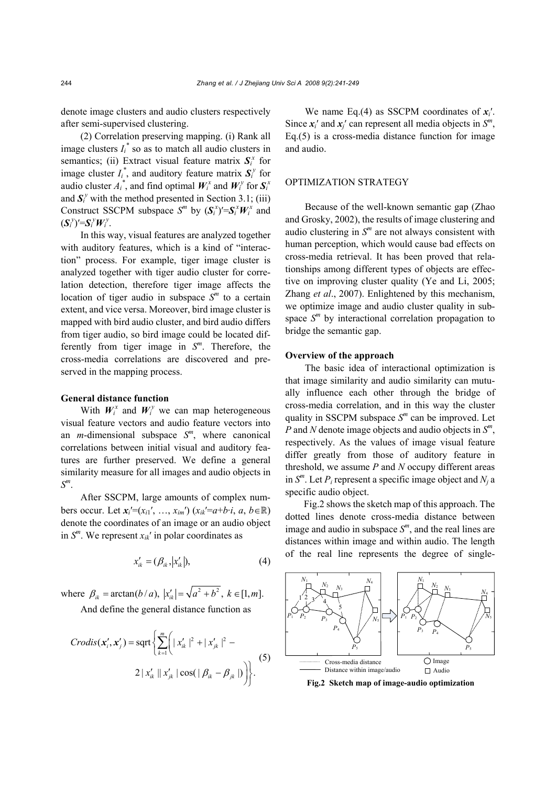denote image clusters and audio clusters respectively after semi-supervised clustering.

(2) Correlation preserving mapping. (i) Rank all image clusters  $I_i^*$  so as to match all audio clusters in semantics; (ii) Extract visual feature matrix  $S_i^x$  for image cluster  $I_i^*$ , and auditory feature matrix  $S_i^y$  for audio cluster  $A_i^*$ , and find optimal  $W_i^x$  and  $W_i^y$  for  $S_i^x$ and  $S_i^y$  with the method presented in Section 3.1; (iii) Construct SSCPM subspace  $S^m$  by  $(\mathbf{S}^x_i)' = \mathbf{S}^x_i \mathbf{W}^x_i$  and  $(S_i^y)'=S_i^yW_i^y$ .

In this way, visual features are analyzed together with auditory features, which is a kind of "interaction" process. For example, tiger image cluster is analyzed together with tiger audio cluster for correlation detection, therefore tiger image affects the location of tiger audio in subspace  $S<sup>m</sup>$  to a certain extent, and vice versa. Moreover, bird image cluster is mapped with bird audio cluster, and bird audio differs from tiger audio, so bird image could be located differently from tiger image in *S<sup>m</sup>*. Therefore, the cross-media correlations are discovered and preserved in the mapping process.

# **General distance function**

With  $W_i^x$  and  $W_i^y$  we can map heterogeneous visual feature vectors and audio feature vectors into an *m*-dimensional subspace *S<sup>m</sup>*, where canonical correlations between initial visual and auditory features are further preserved. We define a general similarity measure for all images and audio objects in *S<sup>m</sup>*.

After SSCPM, large amounts of complex numbers occur. Let  $x_i'=(x_{i1}',...,x_{im}')$   $(x_{ik}'=a+b \cdot i, a, b \in \mathbb{R})$ denote the coordinates of an image or an audio object in  $S^m$ . We represent  $x_{ik}$ <sup>'</sup> in polar coordinates as

$$
x'_{ik} = (\beta_{ik}, |x'_{ik}|),\tag{4}
$$

where  $\beta_{ik} = \arctan(b/a), |x'_{ik}| = \sqrt{a^2 + b^2}, k \in [1, m].$ 

And define the general distance function as

$$
Crodis(\mathbf{x}'_{i}, \mathbf{x}'_{j}) = \operatorname{sqrt}\left\{\sum_{k=1}^{m} \left( |x'_{ik}|^{2} + |x'_{jk}|^{2} - 2 |x'_{ik}| ||x'_{jk}| \cos(|\beta_{ik} - \beta_{jk}|) \right) \right\}.
$$
 (5)

We name Eq.(4) as SSCPM coordinates of *xi*′. Since  $x_i'$  and  $x_i'$  can represent all media objects in  $S^m$ , Eq.(5) is a cross-media distance function for image and audio.

## OPTIMIZATION STRATEGY

Because of the well-known semantic gap (Zhao and Grosky, 2002), the results of image clustering and audio clustering in  $S<sup>m</sup>$  are not always consistent with human perception, which would cause bad effects on cross-media retrieval. It has been proved that relationships among different types of objects are effective on improving cluster quality (Ye and Li, 2005; Zhang *et al*., 2007). Enlightened by this mechanism, we optimize image and audio cluster quality in subspace  $S<sup>m</sup>$  by interactional correlation propagation to bridge the semantic gap.

## **Overview of the approach**

The basic idea of interactional optimization is that image similarity and audio similarity can mutually influence each other through the bridge of cross-media correlation, and in this way the cluster quality in SSCPM subspace *S<sup>m</sup>* can be improved. Let *P* and *N* denote image objects and audio objects in *S<sup>m</sup>*, respectively. As the values of image visual feature differ greatly from those of auditory feature in threshold, we assume *P* and *N* occupy different areas in  $S^m$ . Let  $P_i$  represent a specific image object and  $N_i$  a specific audio object.

Fig.2 shows the sketch map of this approach. The dotted lines denote cross-media distance between image and audio in subspace *S<sup>m</sup>*, and the real lines are distances within image and within audio. The length of the real line represents the degree of single-



**Fig.2 Sketch map of image-audio optimization**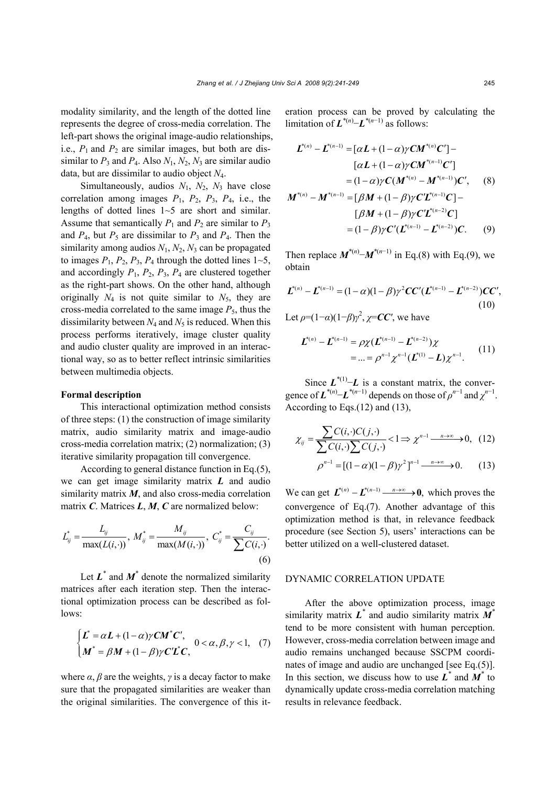modality similarity, and the length of the dotted line represents the degree of cross-media correlation. The left-part shows the original image-audio relationships, i.e.,  $P_1$  and  $P_2$  are similar images, but both are dissimilar to  $P_3$  and  $P_4$ . Also  $N_1$ ,  $N_2$ ,  $N_3$  are similar audio data, but are dissimilar to audio object *N*4.

Simultaneously, audios *N*1, *N*2, *N*3 have close correlation among images  $P_1$ ,  $P_2$ ,  $P_3$ ,  $P_4$ , i.e., the lengths of dotted lines 1~5 are short and similar. Assume that semantically  $P_1$  and  $P_2$  are similar to  $P_3$ and  $P_4$ , but  $P_5$  are dissimilar to  $P_3$  and  $P_4$ . Then the similarity among audios *N*1, *N*2, *N*3 can be propagated to images  $P_1$ ,  $P_2$ ,  $P_3$ ,  $P_4$  through the dotted lines  $1 \sim 5$ , and accordingly  $P_1$ ,  $P_2$ ,  $P_3$ ,  $P_4$  are clustered together as the right-part shows. On the other hand, although originally  $N_4$  is not quite similar to  $N_5$ , they are cross-media correlated to the same image  $P_5$ , thus the dissimilarity between  $N_4$  and  $N_5$  is reduced. When this process performs iteratively, image cluster quality and audio cluster quality are improved in an interactional way, so as to better reflect intrinsic similarities between multimedia objects.

#### **Formal description**

This interactional optimization method consists of three steps: (1) the construction of image similarity matrix, audio similarity matrix and image-audio cross-media correlation matrix; (2) normalization; (3) iterative similarity propagation till convergence.

According to general distance function in Eq.(5), we can get image similarity matrix *L* and audio similarity matrix *M*, and also cross-media correlation matrix *C*. Matrices *L*, *M*, *C* are normalized below:

$$
L_{ij}^* = \frac{L_{ij}}{\max(L(i, \cdot))}, \ M_{ij}^* = \frac{M_{ij}}{\max(M(i, \cdot))}, \ C_{ij}^* = \frac{C_{ij}}{\sum C(i, \cdot)}.
$$
\n(6)

Let  $L^*$  and  $M^*$  denote the normalized similarity matrices after each iteration step. Then the interactional optimization process can be described as follows:

$$
\begin{cases}\n\boldsymbol{L}^* = \alpha \boldsymbol{L} + (1 - \alpha) \gamma \boldsymbol{C} \boldsymbol{M}^* \boldsymbol{C}', & 0 < \alpha, \beta, \gamma < 1, \\
\boldsymbol{M}^* = \beta \boldsymbol{M} + (1 - \beta) \gamma \boldsymbol{C} \boldsymbol{L}^* \boldsymbol{C}, & \n\end{cases} \tag{7}
$$

where  $\alpha$ ,  $\beta$  are the weights,  $\gamma$  is a decay factor to make sure that the propagated similarities are weaker than the original similarities. The convergence of this iteration process can be proved by calculating the limitation of  $\boldsymbol{L}^{*(n)}$ – $\boldsymbol{L}^{*(n-1)}$  as follows:

$$
\mathbf{L}^{*(n)} - \mathbf{L}^{*(n-1)} = [\alpha \mathbf{L} + (1-\alpha)\gamma \mathbf{C}\mathbf{M}^{*(n)}\mathbf{C}'] - [\alpha \mathbf{L} + (1-\alpha)\gamma \mathbf{C}\mathbf{M}^{*(n-1)}\mathbf{C}']
$$
  
\n
$$
= (1-\alpha)\gamma \mathbf{C}(\mathbf{M}^{*(n)} - \mathbf{M}^{*(n-1)})\mathbf{C}', \qquad (8)
$$
  
\n
$$
\mathbf{M}^{*(n)} - \mathbf{M}^{*(n-1)} = [\beta \mathbf{M} + (1-\beta)\gamma \mathbf{C}'\mathbf{L}^{*(n-1)}\mathbf{C}] - [\beta \mathbf{M} + (1-\beta)\gamma \mathbf{C}'\mathbf{L}^{*(n-2)}\mathbf{C}]
$$
  
\n
$$
= (1-\beta)\gamma \mathbf{C}'(\mathbf{L}^{*(n-1)} - \mathbf{L}^{*(n-2)})\mathbf{C}. \qquad (9)
$$

Then replace  $M^{*(n)} - M^{*(n-1)}$  in Eq.(8) with Eq.(9), we obtain

$$
\boldsymbol{L}^{*(n)} - \boldsymbol{L}^{*(n-1)} = (1 - \alpha)(1 - \beta)\gamma^2 \boldsymbol{C}\boldsymbol{C}' (\boldsymbol{L}^{*(n-1)} - \boldsymbol{L}^{*(n-2)})\boldsymbol{C}\boldsymbol{C}',
$$
\n(10)

Let  $\rho = (1-\alpha)(1-\beta)\gamma^2$ ,  $\chi = CC'$ , we have

$$
\mathbf{L}^{*(n)} - \mathbf{L}^{*(n-1)} = \rho \chi (\mathbf{L}^{*(n-1)} - \mathbf{L}^{*(n-2)}) \chi
$$
  
= ... =  $\rho^{n-1} \chi^{n-1} (\mathbf{L}^{*(1)} - \mathbf{L}) \chi^{n-1}.$  (11)

Since  $L^{*(1)}$ −*L* is a constant matrix, the convergence of  $\mathbf{L}^{*(n)}$ – $\mathbf{L}^{*(n-1)}$  depends on those of  $\rho^{n-1}$  and  $\chi^{n-1}$ . According to Eqs.(12) and (13),

$$
\chi_{ij} = \frac{\sum C(i, \cdot) C(j, \cdot)}{\sum C(i, \cdot) \sum C(j, \cdot)} <1 \Rightarrow \chi^{n-1} \xrightarrow{n \to \infty} 0, \quad (12)
$$

$$
\rho^{n-1} = [(1-\alpha)(1-\beta)\gamma^2]^{n-1} \xrightarrow{n \to \infty} 0. \qquad (13)
$$

We can get  $\mathbf{L}^{*(n)} - \mathbf{L}^{*(n-1)} \xrightarrow{n \to \infty} \mathbf{0}$ , which proves the convergence of Eq.(7). Another advantage of this optimization method is that, in relevance feedback procedure (see Section 5), users' interactions can be better utilized on a well-clustered dataset.

#### DYNAMIC CORRELATION UPDATE

After the above optimization process, image similarity matrix *L\** and audio similarity matrix *M\** tend to be more consistent with human perception. However, cross-media correlation between image and audio remains unchanged because SSCPM coordinates of image and audio are unchanged [see Eq.(5)]. In this section, we discuss how to use  $L^*$  and  $M^*$  to dynamically update cross-media correlation matching results in relevance feedback.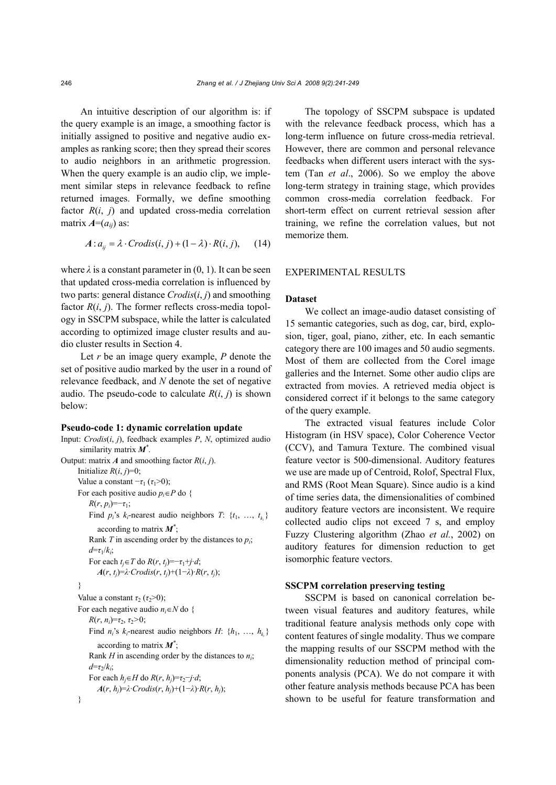An intuitive description of our algorithm is: if the query example is an image, a smoothing factor is initially assigned to positive and negative audio examples as ranking score; then they spread their scores to audio neighbors in an arithmetic progression. When the query example is an audio clip, we implement similar steps in relevance feedback to refine returned images. Formally, we define smoothing factor  $R(i, j)$  and updated cross-media correlation matrix  $A=(a_{ii})$  as:

$$
A: a_{ij} = \lambda \cdot Crodis(i, j) + (1 - \lambda) \cdot R(i, j), \quad (14)
$$

where  $\lambda$  is a constant parameter in  $(0, 1)$ . It can be seen that updated cross-media correlation is influenced by two parts: general distance *Crodis*(*i*, *j*) and smoothing factor  $R(i, j)$ . The former reflects cross-media topology in SSCPM subspace, while the latter is calculated according to optimized image cluster results and audio cluster results in Section 4.

Let *r* be an image query example, *P* denote the set of positive audio marked by the user in a round of relevance feedback, and *N* denote the set of negative audio. The pseudo-code to calculate  $R(i, j)$  is shown below:

#### **Pseudo-code 1: dynamic correlation update**

```
Input: Crodis(i, j), feedback examples P, N, optimized audio 
       similarity matrix M*
. 
Output: matrix A and smoothing factor R(i, j).
      Initialize R(i, j)=0;
      Value a constant -\tau_1 (\tau_1>0);
      For each positive audio p_i \in P do {
          R(r, p_i) = -\tau_1;Find p_i's k_i-nearest audio neighbors T: \{t_1, \ldots, t_k\}according to matrix M*
; 
          Rank T in ascending order by the distances to pi; 
          d=τ1/ki; 
          For each t_i \in T do R(r, t_i) = -\tau_1 + i \cdot d;
             A(r, t<sub>i</sub>)=λ·Crodis(r, t<sub>i</sub>)+(1−λ)·R(r, t<sub>i</sub>);
      } 
      Value a constant \tau_2 (\tau_2>0);
      For each negative audio n_i \in N do {
          R(r, n_i)=\tau_2, \tau_2 > 0;
          Find n_i's k_i-nearest audio neighbors H: \{h_1, \ldots, h_k\}according to matrix M*
; 
          Rank H in ascending order by the distances to ni; 
          d=τ2/ki; 
          For each h_i \in H do R(r, h_i) = \tau_2 - j \cdot d;
             A(r, h<sub>i</sub>)=\lambda·Crodis(r, h<sub>i</sub>)+(1−\lambda)·R(r, h<sub>i</sub>);
      }
```
The topology of SSCPM subspace is updated with the relevance feedback process, which has a long-term influence on future cross-media retrieval. However, there are common and personal relevance feedbacks when different users interact with the system (Tan *et al*., 2006). So we employ the above long-term strategy in training stage, which provides common cross-media correlation feedback. For short-term effect on current retrieval session after training, we refine the correlation values, but not memorize them.

## EXPERIMENTAL RESULTS

## **Dataset**

We collect an image-audio dataset consisting of 15 semantic categories, such as dog, car, bird, explosion, tiger, goal, piano, zither, etc. In each semantic category there are 100 images and 50 audio segments. Most of them are collected from the Corel image galleries and the Internet. Some other audio clips are extracted from movies. A retrieved media object is considered correct if it belongs to the same category of the query example.

The extracted visual features include Color Histogram (in HSV space), Color Coherence Vector (CCV), and Tamura Texture. The combined visual feature vector is 500-dimensional. Auditory features we use are made up of Centroid, Rolof, Spectral Flux, and RMS (Root Mean Square). Since audio is a kind of time series data, the dimensionalities of combined auditory feature vectors are inconsistent. We require collected audio clips not exceed 7 s, and employ Fuzzy Clustering algorithm (Zhao *et al.*, 2002) on auditory features for dimension reduction to get isomorphic feature vectors.

## **SSCPM correlation preserving testing**

SSCPM is based on canonical correlation between visual features and auditory features, while traditional feature analysis methods only cope with content features of single modality. Thus we compare the mapping results of our SSCPM method with the dimensionality reduction method of principal components analysis (PCA). We do not compare it with other feature analysis methods because PCA has been shown to be useful for feature transformation and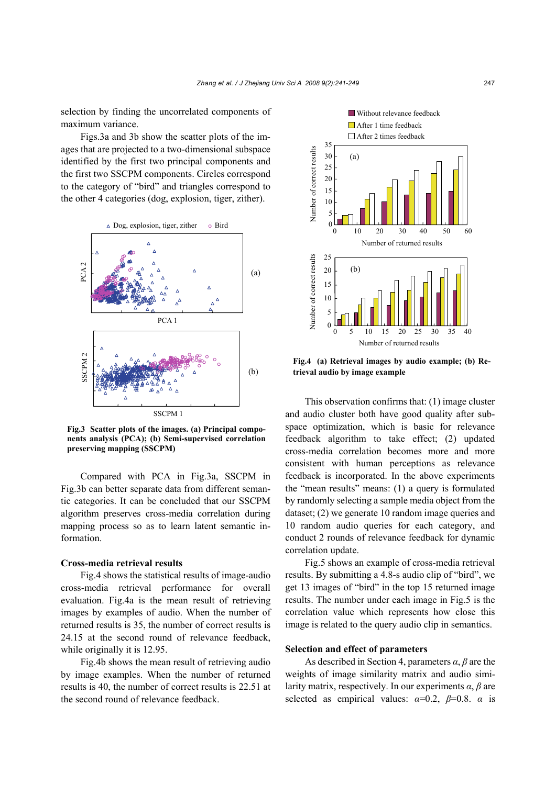selection by finding the uncorrelated components of maximum variance.

Figs.3a and 3b show the scatter plots of the images that are projected to a two-dimensional subspace identified by the first two principal components and the first two SSCPM components. Circles correspond to the category of "bird" and triangles correspond to the other 4 categories (dog, explosion, tiger, zither).



**Fig.3 Scatter plots of the images. (a) Principal components analysis (PCA); (b) Semi-supervised correlation preserving mapping (SSCPM)** 

Compared with PCA in Fig.3a, SSCPM in Fig.3b can better separate data from different semantic categories. It can be concluded that our SSCPM algorithm preserves cross-media correlation during mapping process so as to learn latent semantic information.

## **Cross-media retrieval results**

Fig.4 shows the statistical results of image-audio cross-media retrieval performance for overall evaluation. Fig.4a is the mean result of retrieving images by examples of audio. When the number of returned results is 35, the number of correct results is 24.15 at the second round of relevance feedback, while originally it is 12.95.

Fig.4b shows the mean result of retrieving audio by image examples. When the number of returned results is 40, the number of correct results is 22.51 at the second round of relevance feedback.



**Fig.4 (a) Retrieval images by audio example; (b) Retrieval audio by image example** 

This observation confirms that: (1) image cluster and audio cluster both have good quality after subspace optimization, which is basic for relevance feedback algorithm to take effect; (2) updated cross-media correlation becomes more and more consistent with human perceptions as relevance feedback is incorporated. In the above experiments the "mean results" means: (1) a query is formulated by randomly selecting a sample media object from the dataset; (2) we generate 10 random image queries and 10 random audio queries for each category, and conduct 2 rounds of relevance feedback for dynamic correlation update.

Fig.5 shows an example of cross-media retrieval results. By submitting a 4.8-s audio clip of "bird", we get 13 images of "bird" in the top 15 returned image results. The number under each image in Fig.5 is the correlation value which represents how close this image is related to the query audio clip in semantics.

## **Selection and effect of parameters**

As described in Section 4, parameters *α*, *β* are the weights of image similarity matrix and audio similarity matrix, respectively. In our experiments *α*, *β* are selected as empirical values:  $\alpha=0.2$ ,  $\beta=0.8$ .  $\alpha$  is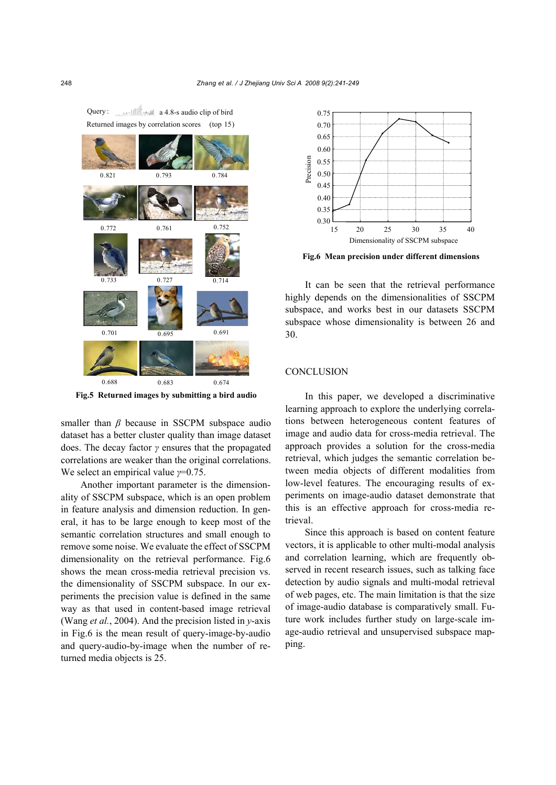

Returned images by correlation scores (top 15) Query : **and constitution** a 4.8-s audio clip of bird

**Fig.5 Returned images by submitting a bird audio** 

smaller than *β* because in SSCPM subspace audio dataset has a better cluster quality than image dataset does. The decay factor *γ* ensures that the propagated correlations are weaker than the original correlations. We select an empirical value *γ*=0.75.

Another important parameter is the dimensionality of SSCPM subspace, which is an open problem in feature analysis and dimension reduction. In general, it has to be large enough to keep most of the semantic correlation structures and small enough to remove some noise. We evaluate the effect of SSCPM dimensionality on the retrieval performance. Fig.6 shows the mean cross-media retrieval precision vs. the dimensionality of SSCPM subspace. In our experiments the precision value is defined in the same way as that used in content-based image retrieval (Wang *et al.*, 2004). And the precision listed in *y*-axis in Fig.6 is the mean result of query-image-by-audio and query-audio-by-image when the number of returned media objects is 25.



**Fig.6 Mean precision under different dimensions** 

It can be seen that the retrieval performance highly depends on the dimensionalities of SSCPM subspace, and works best in our datasets SSCPM subspace whose dimensionality is between 26 and 30.

### **CONCLUSION**

In this paper, we developed a discriminative learning approach to explore the underlying correlations between heterogeneous content features of image and audio data for cross-media retrieval. The approach provides a solution for the cross-media retrieval, which judges the semantic correlation between media objects of different modalities from low-level features. The encouraging results of experiments on image-audio dataset demonstrate that this is an effective approach for cross-media retrieval.

Since this approach is based on content feature vectors, it is applicable to other multi-modal analysis and correlation learning, which are frequently observed in recent research issues, such as talking face detection by audio signals and multi-modal retrieval of web pages, etc. The main limitation is that the size of image-audio database is comparatively small. Future work includes further study on large-scale image-audio retrieval and unsupervised subspace mapping.